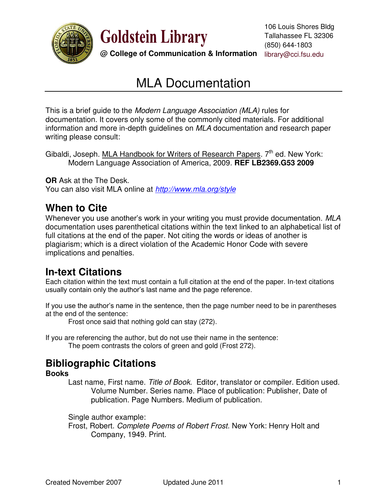

**Goldstein Library** 

**@ College of Communication & Information** library@cci.fsu.edu

# MLA Documentation

This is a brief guide to the *Modern Language Association (MLA)* rules for documentation. It covers only some of the commonly cited materials. For additional information and more in-depth guidelines on *MLA* documentation and research paper writing please consult:

Gibaldi, Joseph. MLA Handbook for Writers of Research Papers. 7<sup>th</sup> ed. New York: Modern Language Association of America, 2009. **REF LB2369.G53 2009**

**OR** Ask at the The Desk. You can also visit MLA online at *<http://www.mla.org/style>*

# **When to Cite**

Whenever you use another's work in your writing you must provide documentation. *MLA*  documentation uses parenthetical citations within the text linked to an alphabetical list of full citations at the end of the paper. Not citing the words or ideas of another is plagiarism; which is a direct violation of the Academic Honor Code with severe implications and penalties.

## **In-text Citations**

Each citation within the text must contain a full citation at the end of the paper. In-text citations usually contain only the author's last name and the page reference.

If you use the author's name in the sentence, then the page number need to be in parentheses at the end of the sentence:

Frost once said that nothing gold can stay (272).

If you are referencing the author, but do not use their name in the sentence: The poem contrasts the colors of green and gold (Frost 272).

# **Bibliographic Citations**

### **Books**

Last name, First name. *Title of Book*. Editor, translator or compiler. Edition used. Volume Number. Series name. Place of publication: Publisher, Date of publication. Page Numbers. Medium of publication.

Single author example:

 Frost, Robert. *Complete Poems of Robert Frost*. New York: Henry Holt and Company, 1949. Print.